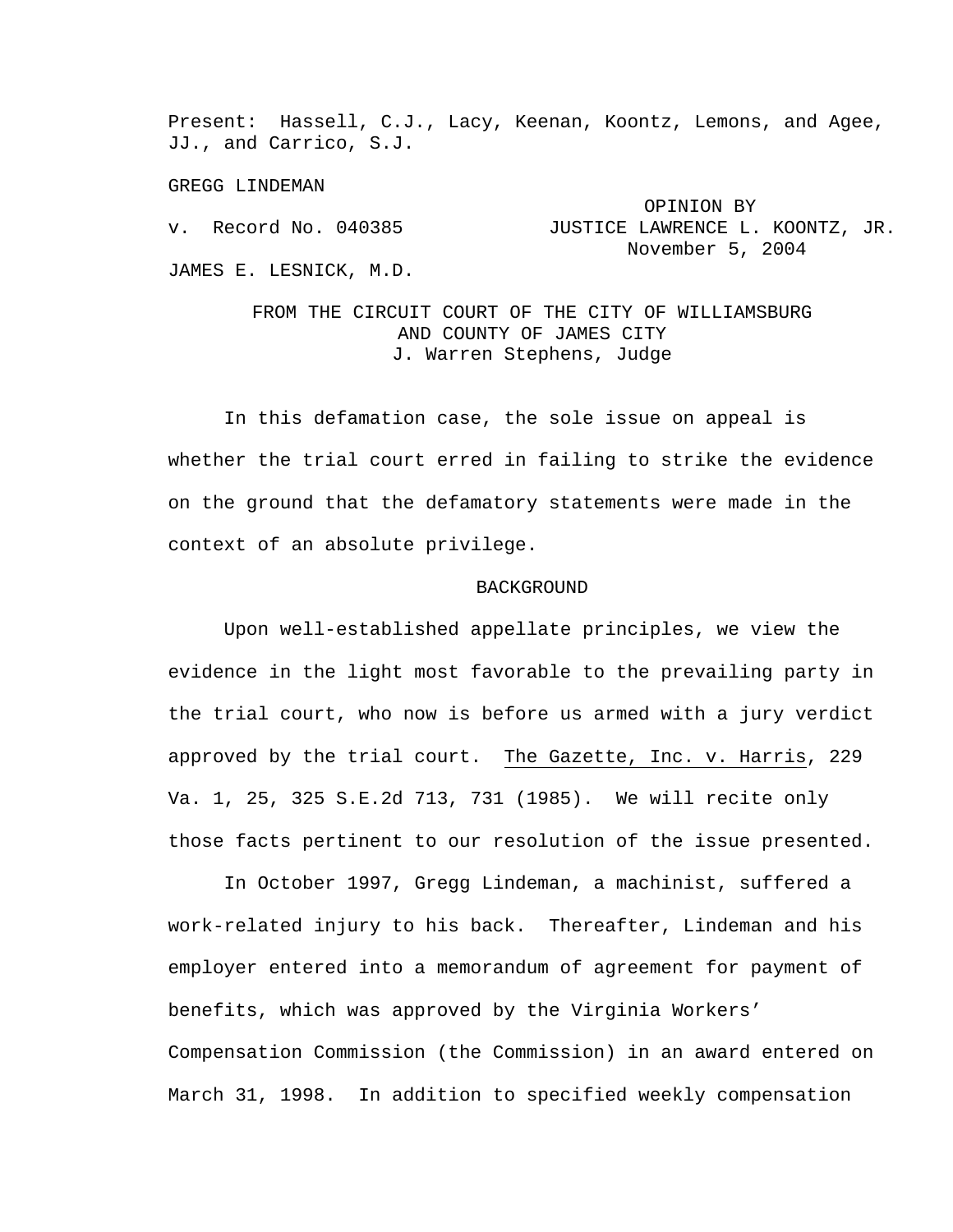Present: Hassell, C.J., Lacy, Keenan, Koontz, Lemons, and Agee, JJ., and Carrico, S.J.

GREGG LINDEMAN

 OPINION BY v. Record No. 040385 JUSTICE LAWRENCE L. KOONTZ, JR. November 5, 2004 JAMES E. LESNICK, M.D.

> FROM THE CIRCUIT COURT OF THE CITY OF WILLIAMSBURG AND COUNTY OF JAMES CITY J. Warren Stephens, Judge

In this defamation case, the sole issue on appeal is whether the trial court erred in failing to strike the evidence on the ground that the defamatory statements were made in the context of an absolute privilege.

## BACKGROUND

Upon well-established appellate principles, we view the evidence in the light most favorable to the prevailing party in the trial court, who now is before us armed with a jury verdict approved by the trial court. The Gazette, Inc. v. Harris, 229 Va. 1, 25, 325 S.E.2d 713, 731 (1985). We will recite only those facts pertinent to our resolution of the issue presented.

In October 1997, Gregg Lindeman, a machinist, suffered a work-related injury to his back. Thereafter, Lindeman and his employer entered into a memorandum of agreement for payment of benefits, which was approved by the Virginia Workers' Compensation Commission (the Commission) in an award entered on March 31, 1998. In addition to specified weekly compensation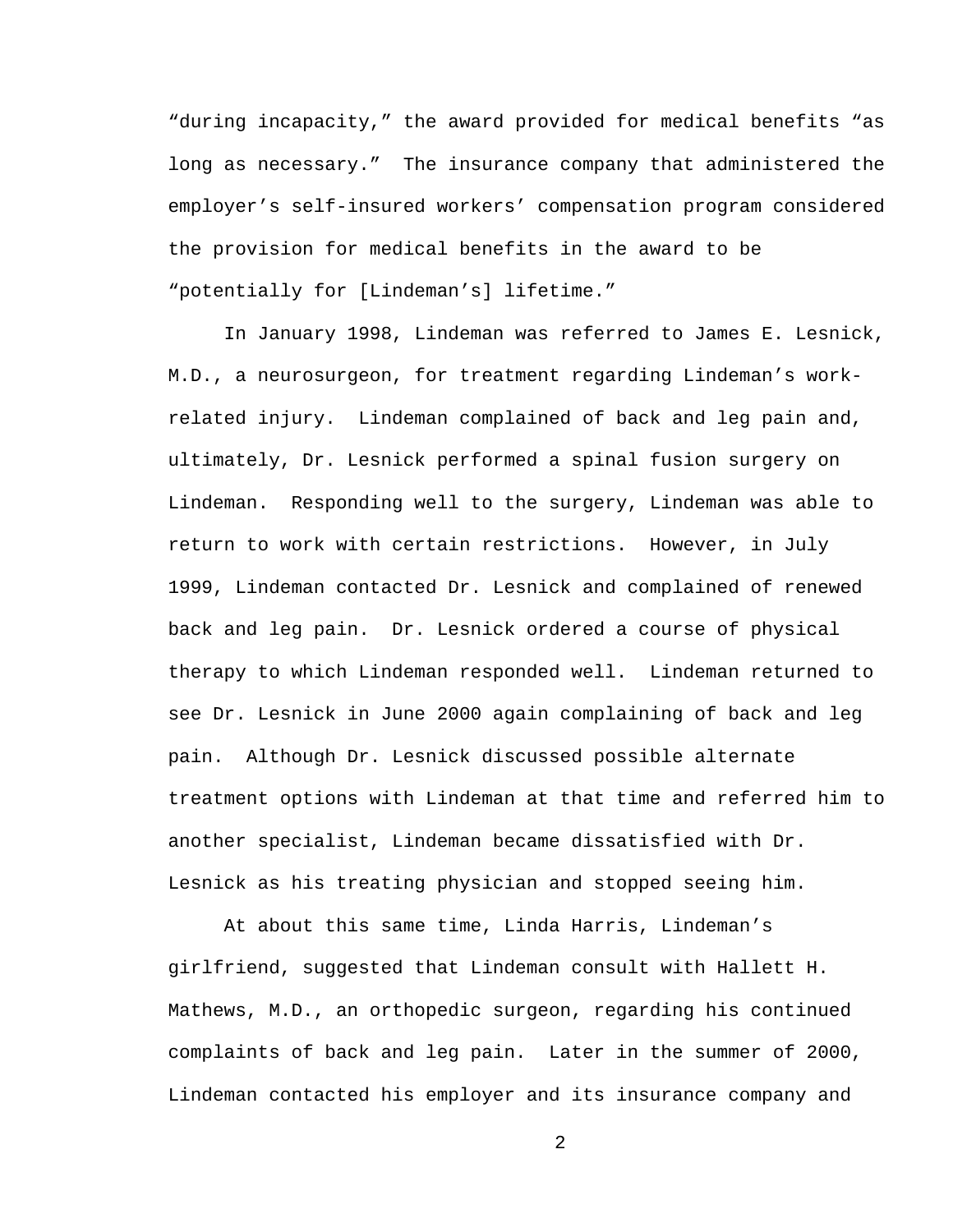"during incapacity," the award provided for medical benefits "as long as necessary." The insurance company that administered the employer's self-insured workers' compensation program considered the provision for medical benefits in the award to be "potentially for [Lindeman's] lifetime."

In January 1998, Lindeman was referred to James E. Lesnick, M.D., a neurosurgeon, for treatment regarding Lindeman's workrelated injury. Lindeman complained of back and leg pain and, ultimately, Dr. Lesnick performed a spinal fusion surgery on Lindeman. Responding well to the surgery, Lindeman was able to return to work with certain restrictions. However, in July 1999, Lindeman contacted Dr. Lesnick and complained of renewed back and leg pain. Dr. Lesnick ordered a course of physical therapy to which Lindeman responded well. Lindeman returned to see Dr. Lesnick in June 2000 again complaining of back and leg pain. Although Dr. Lesnick discussed possible alternate treatment options with Lindeman at that time and referred him to another specialist, Lindeman became dissatisfied with Dr. Lesnick as his treating physician and stopped seeing him.

At about this same time, Linda Harris, Lindeman's girlfriend, suggested that Lindeman consult with Hallett H. Mathews, M.D., an orthopedic surgeon, regarding his continued complaints of back and leg pain. Later in the summer of 2000, Lindeman contacted his employer and its insurance company and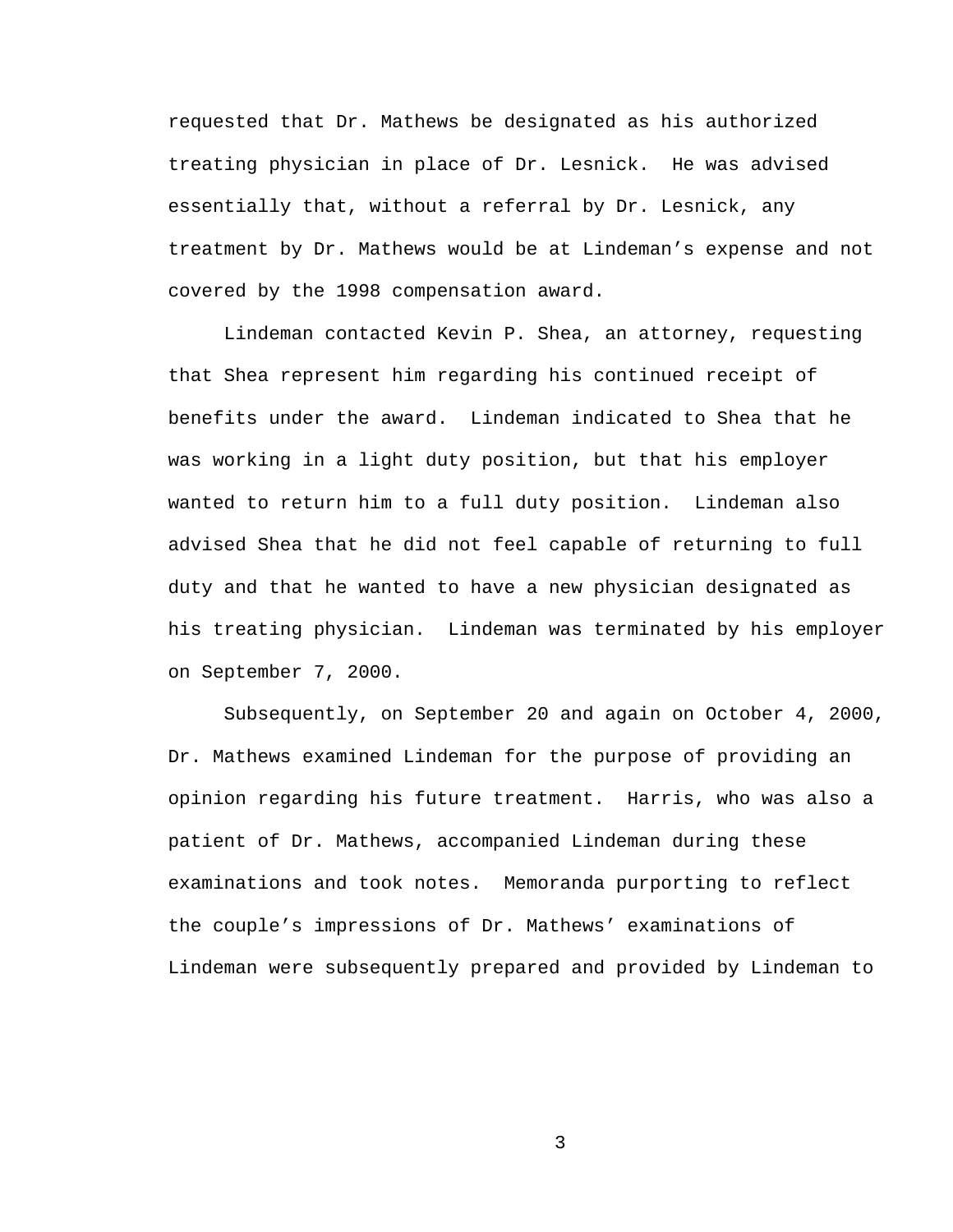requested that Dr. Mathews be designated as his authorized treating physician in place of Dr. Lesnick. He was advised essentially that, without a referral by Dr. Lesnick, any treatment by Dr. Mathews would be at Lindeman's expense and not covered by the 1998 compensation award.

Lindeman contacted Kevin P. Shea, an attorney, requesting that Shea represent him regarding his continued receipt of benefits under the award. Lindeman indicated to Shea that he was working in a light duty position, but that his employer wanted to return him to a full duty position. Lindeman also advised Shea that he did not feel capable of returning to full duty and that he wanted to have a new physician designated as his treating physician. Lindeman was terminated by his employer on September 7, 2000.

Subsequently, on September 20 and again on October 4, 2000, Dr. Mathews examined Lindeman for the purpose of providing an opinion regarding his future treatment. Harris, who was also a patient of Dr. Mathews, accompanied Lindeman during these examinations and took notes. Memoranda purporting to reflect the couple's impressions of Dr. Mathews' examinations of Lindeman were subsequently prepared and provided by Lindeman to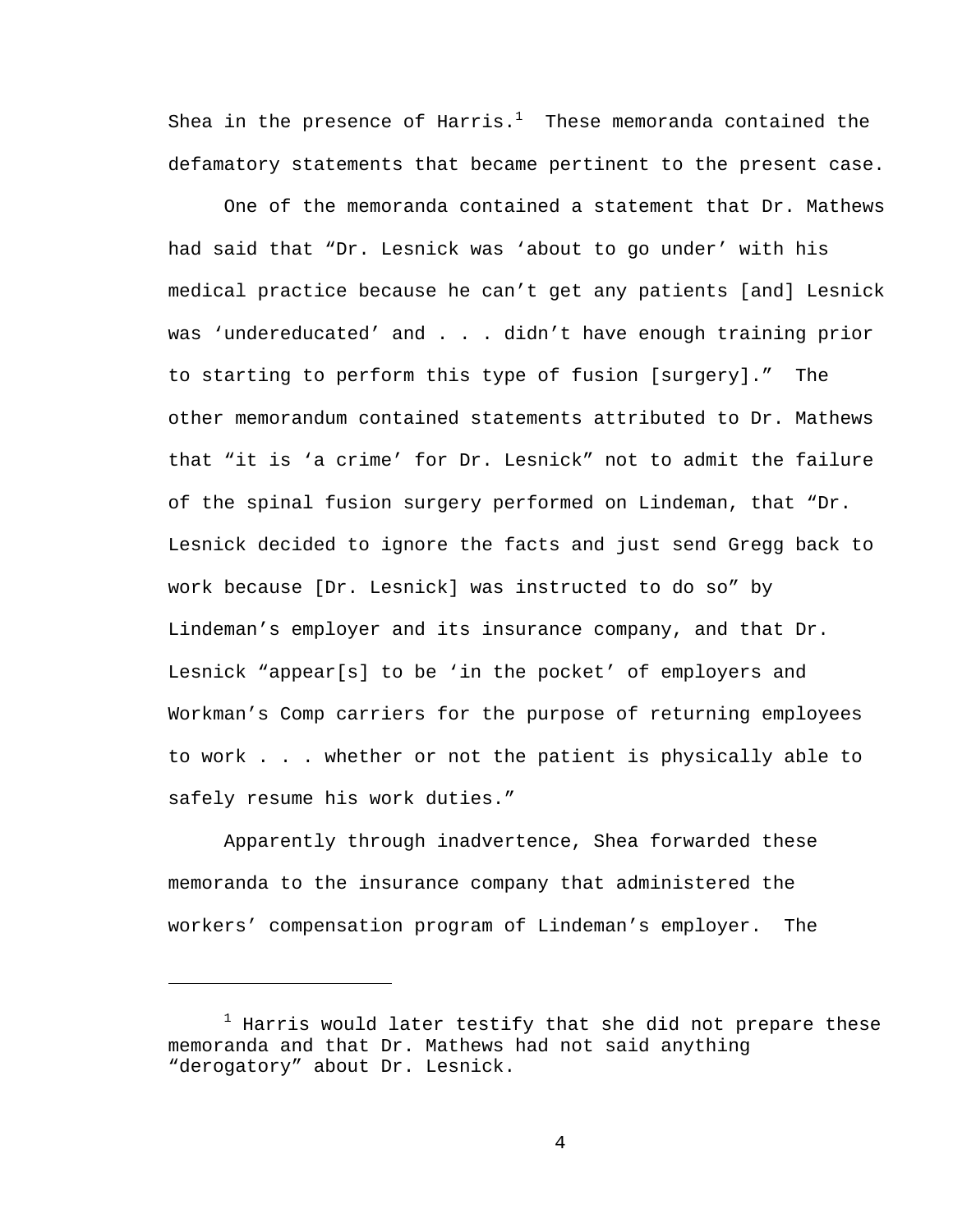Shea in the presence of Harris. $^1$  These memoranda contained the defamatory statements that became pertinent to the present case.

One of the memoranda contained a statement that Dr. Mathews had said that "Dr. Lesnick was 'about to go under' with his medical practice because he can't get any patients [and] Lesnick was 'undereducated' and . . . didn't have enough training prior to starting to perform this type of fusion [surgery]." The other memorandum contained statements attributed to Dr. Mathews that "it is 'a crime' for Dr. Lesnick" not to admit the failure of the spinal fusion surgery performed on Lindeman, that "Dr. Lesnick decided to ignore the facts and just send Gregg back to work because [Dr. Lesnick] was instructed to do so" by Lindeman's employer and its insurance company, and that Dr. Lesnick "appear[s] to be 'in the pocket' of employers and Workman's Comp carriers for the purpose of returning employees to work . . . whether or not the patient is physically able to safely resume his work duties."

Apparently through inadvertence, Shea forwarded these memoranda to the insurance company that administered the workers' compensation program of Lindeman's employer. The

i<br>Li

 $^{\rm 1}$  Harris would later testify that she did not prepare these memoranda and that Dr. Mathews had not said anything "derogatory" about Dr. Lesnick.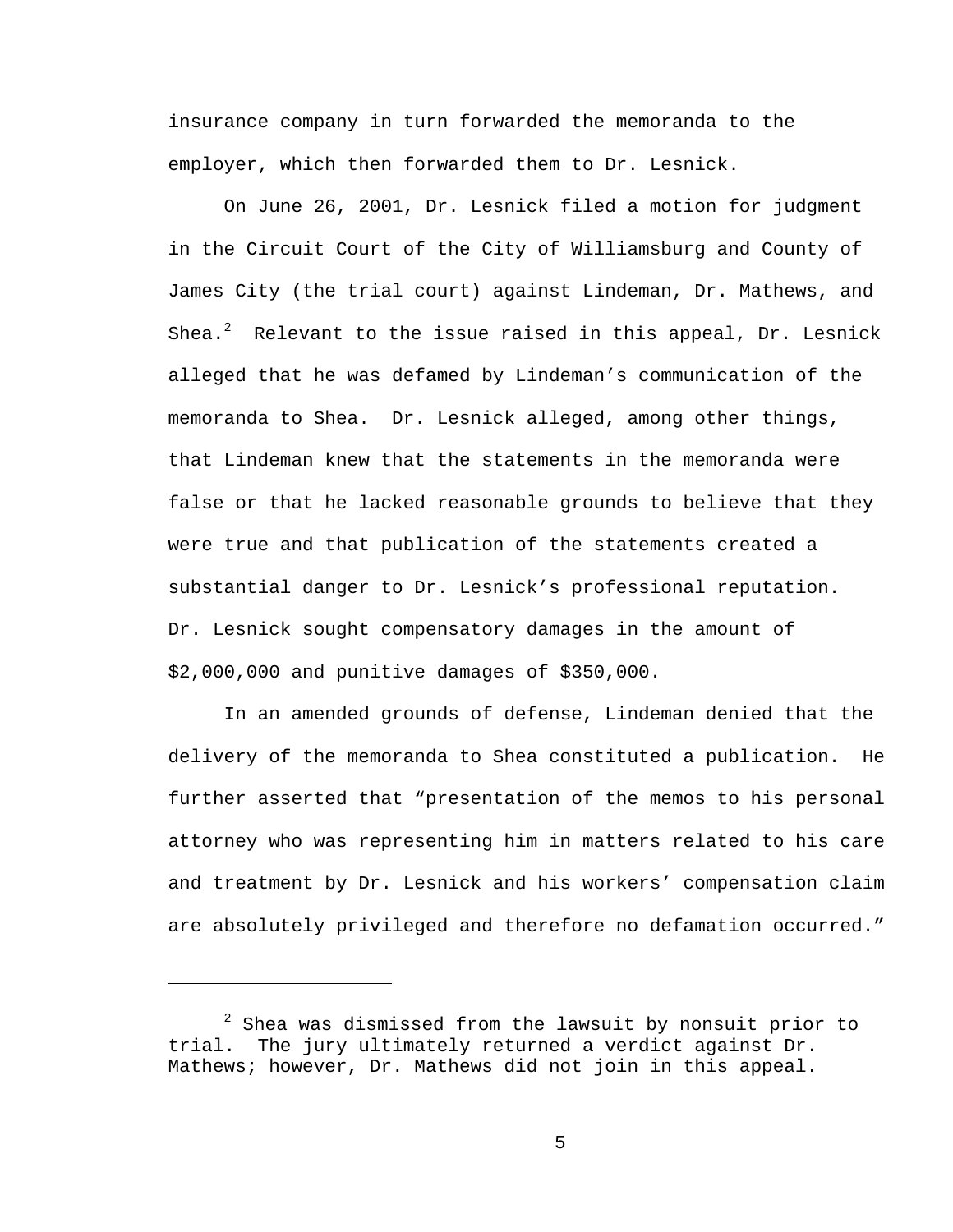insurance company in turn forwarded the memoranda to the employer, which then forwarded them to Dr. Lesnick.

On June 26, 2001, Dr. Lesnick filed a motion for judgment in the Circuit Court of the City of Williamsburg and County of James City (the trial court) against Lindeman, Dr. Mathews, and Shea. $^2$  Relevant to the issue raised in this appeal, Dr. Lesnick alleged that he was defamed by Lindeman's communication of the memoranda to Shea. Dr. Lesnick alleged, among other things, that Lindeman knew that the statements in the memoranda were false or that he lacked reasonable grounds to believe that they were true and that publication of the statements created a substantial danger to Dr. Lesnick's professional reputation. Dr. Lesnick sought compensatory damages in the amount of \$2,000,000 and punitive damages of \$350,000.

In an amended grounds of defense, Lindeman denied that the delivery of the memoranda to Shea constituted a publication. He further asserted that "presentation of the memos to his personal attorney who was representing him in matters related to his care and treatment by Dr. Lesnick and his workers' compensation claim are absolutely privileged and therefore no defamation occurred."

i<br>Li

<sup>&</sup>lt;sup>2</sup> Shea was dismissed from the lawsuit by nonsuit prior to trial. The jury ultimately returned a verdict against Dr. Mathews; however, Dr. Mathews did not join in this appeal.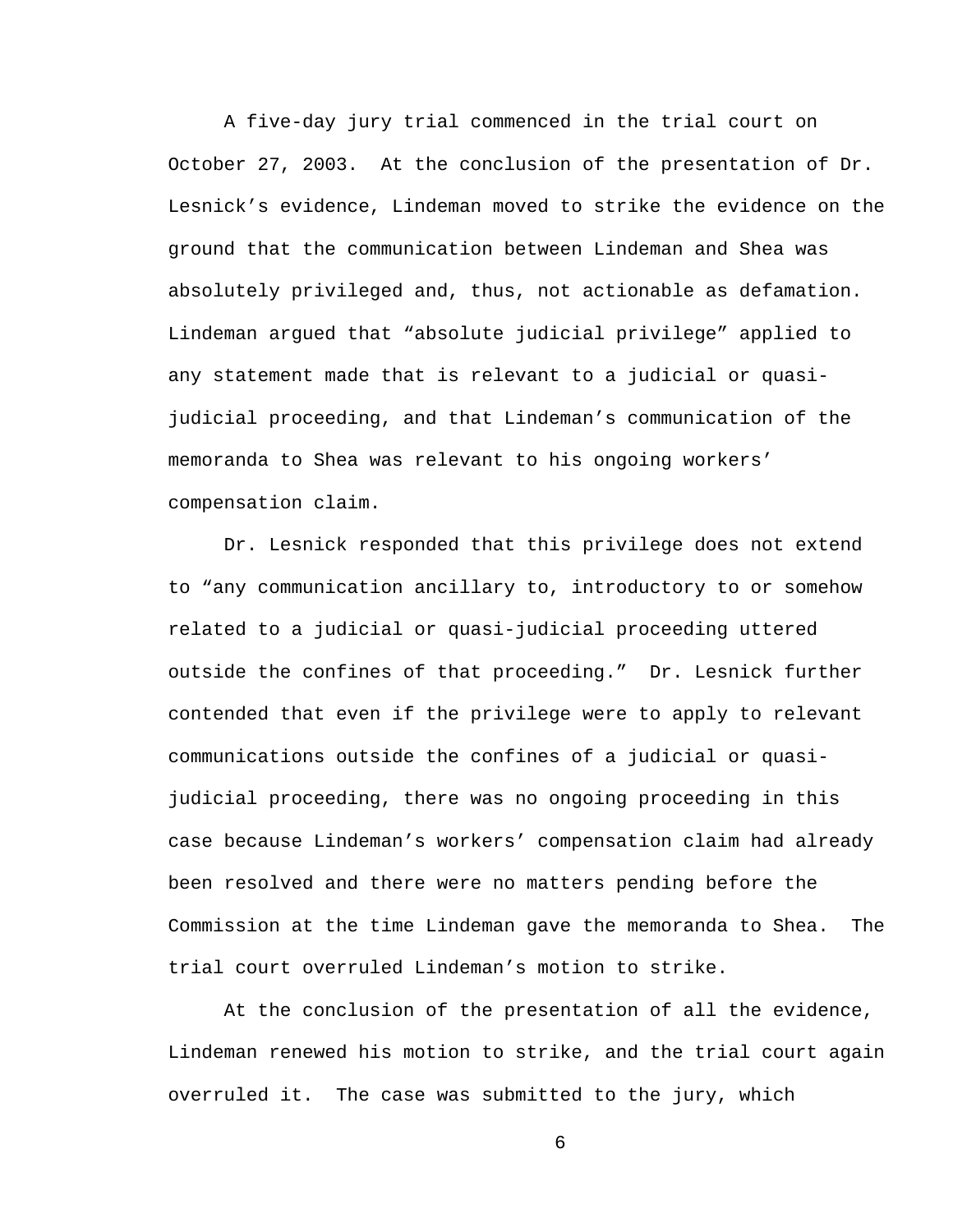A five-day jury trial commenced in the trial court on October 27, 2003. At the conclusion of the presentation of Dr. Lesnick's evidence, Lindeman moved to strike the evidence on the ground that the communication between Lindeman and Shea was absolutely privileged and, thus, not actionable as defamation. Lindeman argued that "absolute judicial privilege" applied to any statement made that is relevant to a judicial or quasijudicial proceeding, and that Lindeman's communication of the memoranda to Shea was relevant to his ongoing workers' compensation claim.

Dr. Lesnick responded that this privilege does not extend to "any communication ancillary to, introductory to or somehow related to a judicial or quasi-judicial proceeding uttered outside the confines of that proceeding." Dr. Lesnick further contended that even if the privilege were to apply to relevant communications outside the confines of a judicial or quasijudicial proceeding, there was no ongoing proceeding in this case because Lindeman's workers' compensation claim had already been resolved and there were no matters pending before the Commission at the time Lindeman gave the memoranda to Shea. The trial court overruled Lindeman's motion to strike.

At the conclusion of the presentation of all the evidence, Lindeman renewed his motion to strike, and the trial court again overruled it. The case was submitted to the jury, which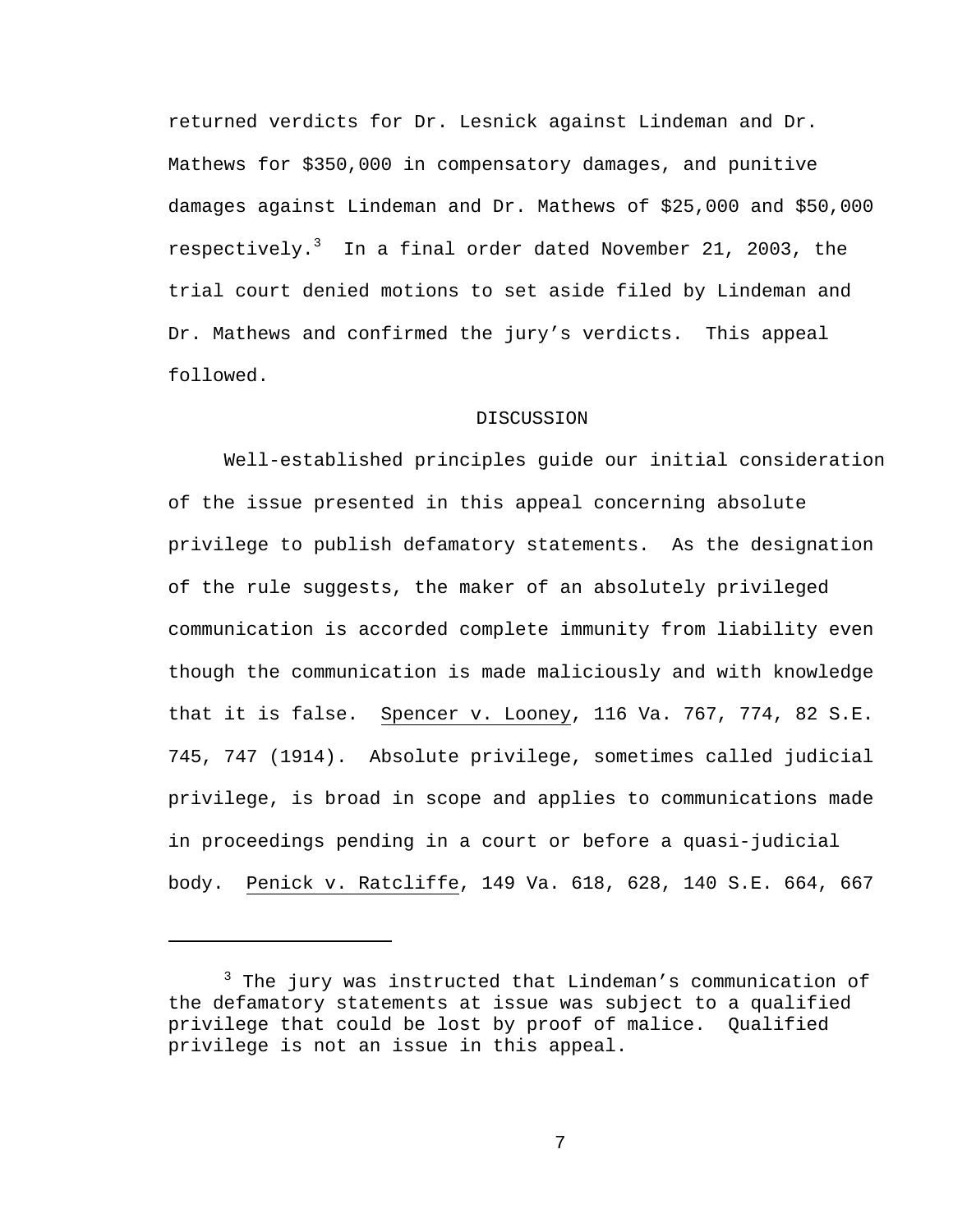returned verdicts for Dr. Lesnick against Lindeman and Dr. Mathews for \$350,000 in compensatory damages, and punitive damages against Lindeman and Dr. Mathews of \$25,000 and \$50,000 respectively.<sup>3</sup> In a final order dated November 21, 2003, the trial court denied motions to set aside filed by Lindeman and Dr. Mathews and confirmed the jury's verdicts. This appeal followed.

## DISCUSSION

Well-established principles guide our initial consideration of the issue presented in this appeal concerning absolute privilege to publish defamatory statements. As the designation of the rule suggests, the maker of an absolutely privileged communication is accorded complete immunity from liability even though the communication is made maliciously and with knowledge that it is false. Spencer v. Looney, 116 Va. 767, 774, 82 S.E. 745, 747 (1914). Absolute privilege, sometimes called judicial privilege, is broad in scope and applies to communications made in proceedings pending in a court or before a quasi-judicial body. Penick v. Ratcliffe, 149 Va. 618, 628, 140 S.E. 664, 667

i

<sup>&</sup>lt;sup>3</sup> The jury was instructed that Lindeman's communication of the defamatory statements at issue was subject to a qualified privilege that could be lost by proof of malice. Qualified privilege is not an issue in this appeal.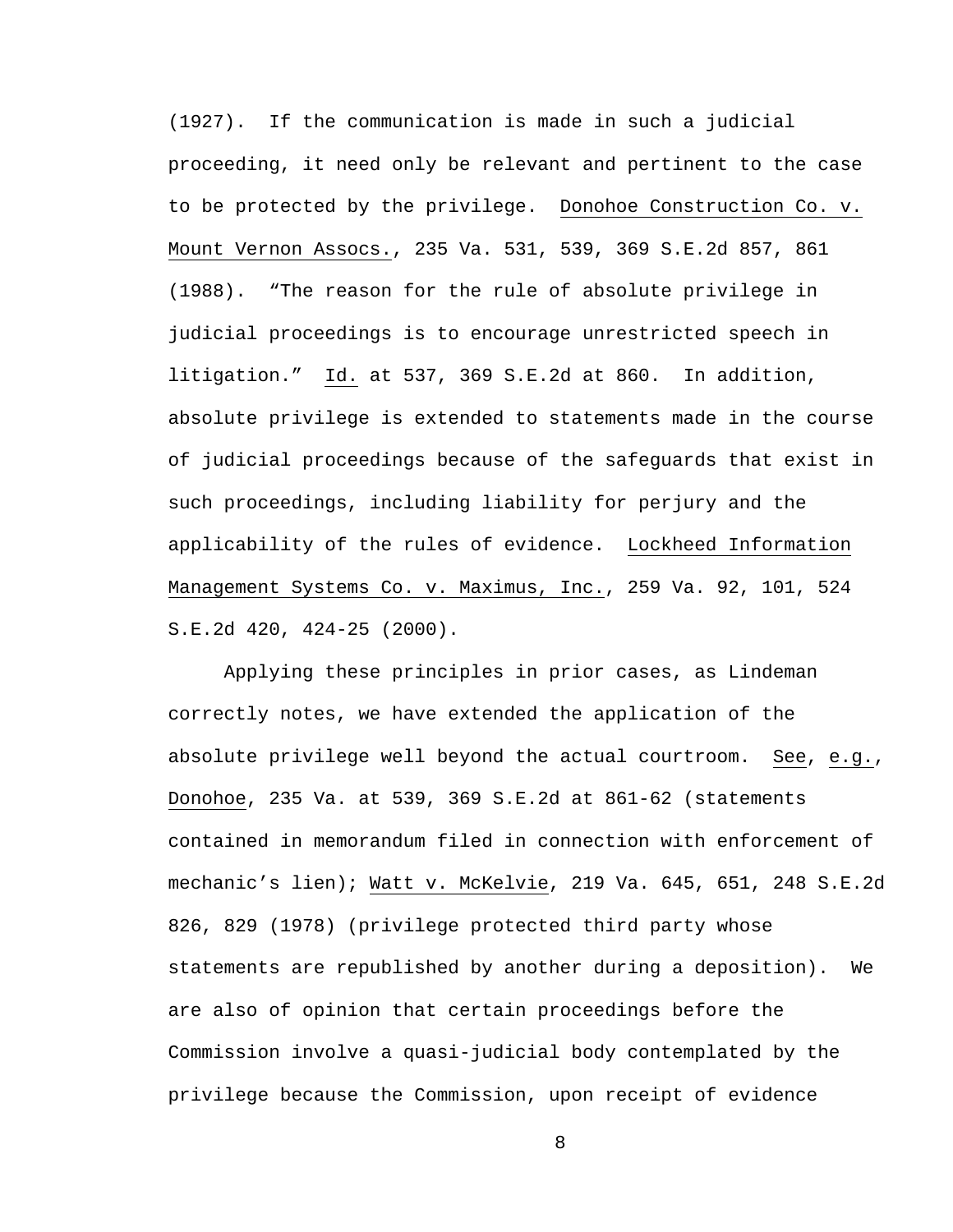(1927). If the communication is made in such a judicial proceeding, it need only be relevant and pertinent to the case to be protected by the privilege. Donohoe Construction Co. v. Mount Vernon Assocs., 235 Va. 531, 539, 369 S.E.2d 857, 861 (1988). "The reason for the rule of absolute privilege in judicial proceedings is to encourage unrestricted speech in litigation." Id. at 537, 369 S.E.2d at 860. In addition, absolute privilege is extended to statements made in the course of judicial proceedings because of the safeguards that exist in such proceedings, including liability for perjury and the applicability of the rules of evidence. Lockheed Information Management Systems Co. v. Maximus, Inc., 259 Va. 92, 101, 524 S.E.2d 420, 424-25 (2000).

Applying these principles in prior cases, as Lindeman correctly notes, we have extended the application of the absolute privilege well beyond the actual courtroom. See, e.g., Donohoe, 235 Va. at 539, 369 S.E.2d at 861-62 (statements contained in memorandum filed in connection with enforcement of mechanic's lien); Watt v. McKelvie, 219 Va. 645, 651, 248 S.E.2d 826, 829 (1978) (privilege protected third party whose statements are republished by another during a deposition). We are also of opinion that certain proceedings before the Commission involve a quasi-judicial body contemplated by the privilege because the Commission, upon receipt of evidence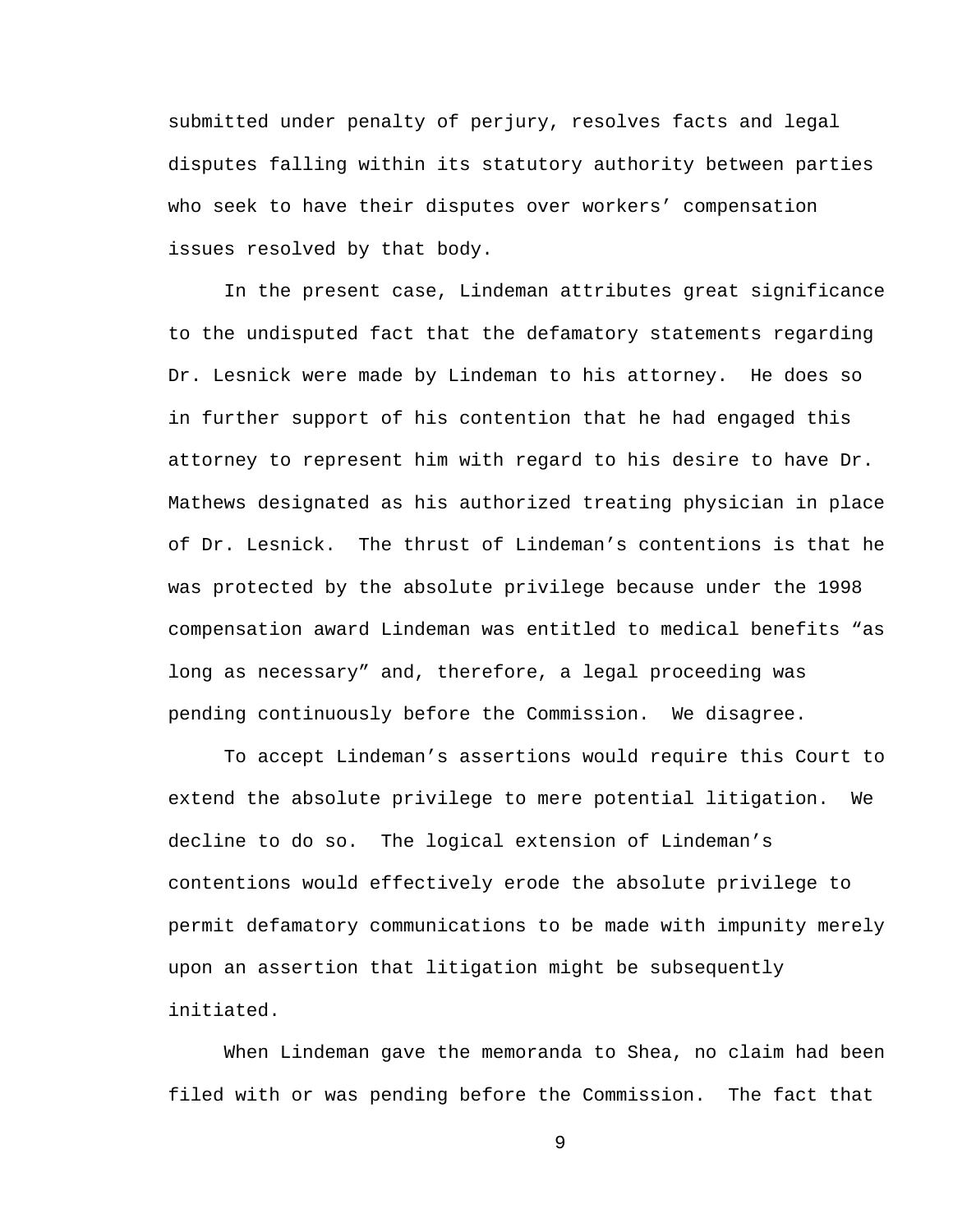submitted under penalty of perjury, resolves facts and legal disputes falling within its statutory authority between parties who seek to have their disputes over workers' compensation issues resolved by that body.

In the present case, Lindeman attributes great significance to the undisputed fact that the defamatory statements regarding Dr. Lesnick were made by Lindeman to his attorney. He does so in further support of his contention that he had engaged this attorney to represent him with regard to his desire to have Dr. Mathews designated as his authorized treating physician in place of Dr. Lesnick. The thrust of Lindeman's contentions is that he was protected by the absolute privilege because under the 1998 compensation award Lindeman was entitled to medical benefits "as long as necessary" and, therefore, a legal proceeding was pending continuously before the Commission. We disagree.

To accept Lindeman's assertions would require this Court to extend the absolute privilege to mere potential litigation. We decline to do so. The logical extension of Lindeman's contentions would effectively erode the absolute privilege to permit defamatory communications to be made with impunity merely upon an assertion that litigation might be subsequently initiated.

When Lindeman gave the memoranda to Shea, no claim had been filed with or was pending before the Commission. The fact that